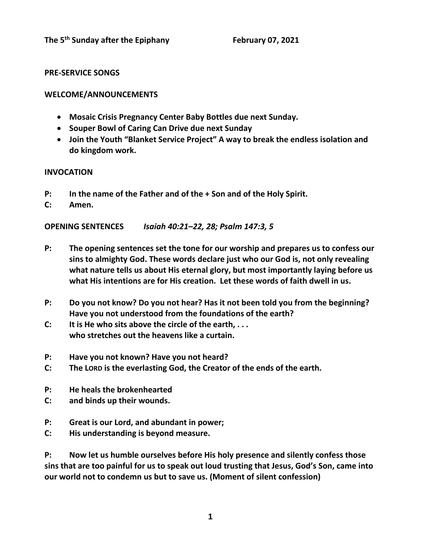# **PRE-SERVICE SONGS**

# **WELCOME/ANNOUNCEMENTS**

- **Mosaic Crisis Pregnancy Center Baby Bottles due next Sunday.**
- **Souper Bowl of Caring Can Drive due next Sunday**
- **Join the Youth "Blanket Service Project" A way to break the endless isolation and do kingdom work.**

## **INVOCATION**

- **P: In the name of the Father and of the + Son and of the Holy Spirit.**
- **C: Amen.**

**OPENING SENTENCES** *Isaiah 40:21–22, 28; Psalm 147:3, 5*

- **P: The opening sentences set the tone for our worship and prepares us to confess our sins to almighty God. These words declare just who our God is, not only revealing what nature tells us about His eternal glory, but most importantly laying before us what His intentions are for His creation. Let these words of faith dwell in us.**
- **P: Do you not know? Do you not hear? Has it not been told you from the beginning? Have you not understood from the foundations of the earth?**
- **C: It is He who sits above the circle of the earth, . . . who stretches out the heavens like a curtain.**
- **P: Have you not known? Have you not heard?**
- **C: The LORD is the everlasting God, the Creator of the ends of the earth.**
- **P: He heals the brokenhearted**
- **C: and binds up their wounds.**
- **P: Great is our Lord, and abundant in power;**
- **C: His understanding is beyond measure.**

**P: Now let us humble ourselves before His holy presence and silently confess those sins that are too painful for us to speak out loud trusting that Jesus, God's Son, came into our world not to condemn us but to save us. (Moment of silent confession)**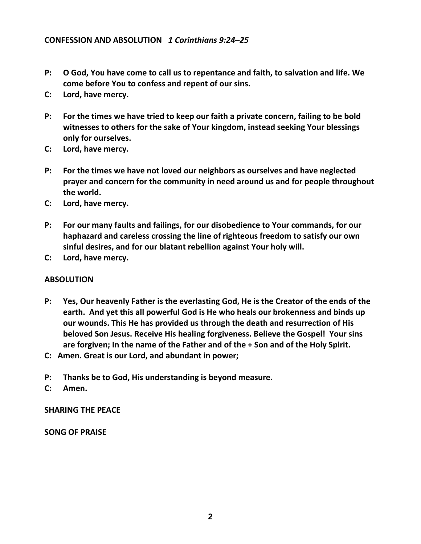- **P: O God, You have come to call us to repentance and faith, to salvation and life. We come before You to confess and repent of our sins.**
- **C: Lord, have mercy.**
- **P: For the times we have tried to keep our faith a private concern, failing to be bold witnesses to others for the sake of Your kingdom, instead seeking Your blessings only for ourselves.**
- **C: Lord, have mercy.**
- **P: For the times we have not loved our neighbors as ourselves and have neglected prayer and concern for the community in need around us and for people throughout the world.**
- **C: Lord, have mercy.**
- **P: For our many faults and failings, for our disobedience to Your commands, for our haphazard and careless crossing the line of righteous freedom to satisfy our own sinful desires, and for our blatant rebellion against Your holy will.**
- **C: Lord, have mercy.**

### **ABSOLUTION**

- **P: Yes, Our heavenly Father is the everlasting God, He is the Creator of the ends of the earth. And yet this all powerful God is He who heals our brokenness and binds up our wounds. This He has provided us through the death and resurrection of His beloved Son Jesus. Receive His healing forgiveness. Believe the Gospel! Your sins are forgiven; In the name of the Father and of the + Son and of the Holy Spirit.**
- **C: Amen. Great is our Lord, and abundant in power;**
- **P: Thanks be to God, His understanding is beyond measure.**
- **C: Amen.**

**SHARING THE PEACE**

**SONG OF PRAISE**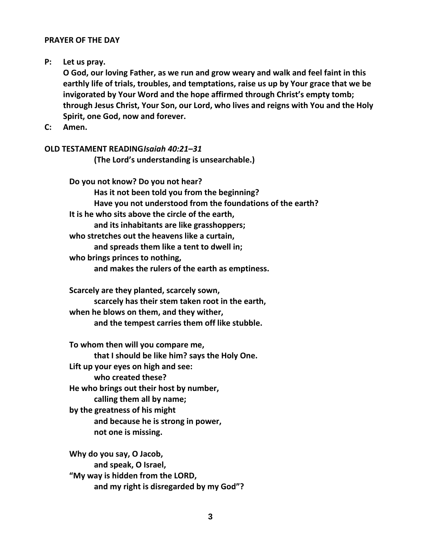#### **PRAYER OF THE DAY**

#### **P: Let us pray.**

**O God, our loving Father, as we run and grow weary and walk and feel faint in this earthly life of trials, troubles, and temptations, raise us up by Your grace that we be invigorated by Your Word and the hope affirmed through Christ's empty tomb; through Jesus Christ, Your Son, our Lord, who lives and reigns with You and the Holy Spirit, one God, now and forever.**

**C: Amen.**

## **OLD TESTAMENT READING***Isaiah 40:21–31*

**(The Lord's understanding is unsearchable.)**

**Do you not know? Do you not hear? Has it not been told you from the beginning? Have you not understood from the foundations of the earth? It is he who sits above the circle of the earth, and its inhabitants are like grasshoppers; who stretches out the heavens like a curtain, and spreads them like a tent to dwell in; who brings princes to nothing, and makes the rulers of the earth as emptiness.**

**Scarcely are they planted, scarcely sown, scarcely has their stem taken root in the earth, when he blows on them, and they wither, and the tempest carries them off like stubble.**

**To whom then will you compare me, that I should be like him? says the Holy One. Lift up your eyes on high and see: who created these? He who brings out their host by number, calling them all by name; by the greatness of his might and because he is strong in power, not one is missing.**

**Why do you say, O Jacob, and speak, O Israel, "My way is hidden from the LORD, and my right is disregarded by my God"?**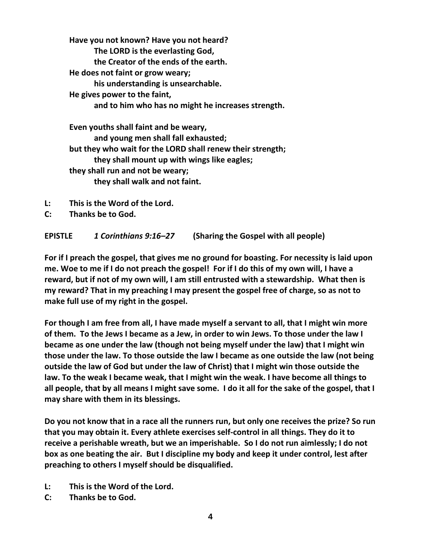**Have you not known? Have you not heard? The LORD is the everlasting God, the Creator of the ends of the earth. He does not faint or grow weary; his understanding is unsearchable. He gives power to the faint, and to him who has no might he increases strength. Even youths shall faint and be weary, and young men shall fall exhausted; but they who wait for the LORD shall renew their strength;**

**they shall mount up with wings like eagles;**

**they shall run and not be weary;**

**they shall walk and not faint.** 

- **L: This is the Word of the Lord.**
- **C: Thanks be to God.**

**EPISTLE** *1 Corinthians 9:16–27* **(Sharing the Gospel with all people)**

**For if I preach the gospel, that gives me no ground for boasting. For necessity is laid upon me. Woe to me if I do not preach the gospel! For if I do this of my own will, I have a reward, but if not of my own will, I am still entrusted with a stewardship. What then is my reward? That in my preaching I may present the gospel free of charge, so as not to make full use of my right in the gospel.**

**For though I am free from all, I have made myself a servant to all, that I might win more of them. To the Jews I became as a Jew, in order to win Jews. To those under the law I became as one under the law (though not being myself under the law) that I might win those under the law. To those outside the law I became as one outside the law (not being outside the law of God but under the law of Christ) that I might win those outside the law. To the weak I became weak, that I might win the weak. I have become all things to all people, that by all means I might save some. I do it all for the sake of the gospel, that I may share with them in its blessings.**

**Do you not know that in a race all the runners run, but only one receives the prize? So run that you may obtain it. Every athlete exercises self-control in all things. They do it to receive a perishable wreath, but we an imperishable. So I do not run aimlessly; I do not box as one beating the air. But I discipline my body and keep it under control, lest after preaching to others I myself should be disqualified.** 

- **L: This is the Word of the Lord.**
- **C: Thanks be to God.**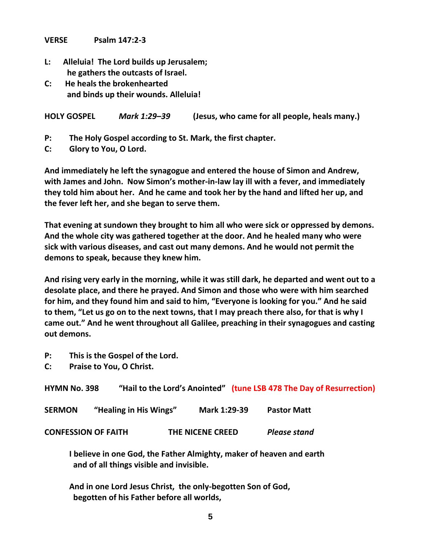**VERSE Psalm 147:2-3**

- **L: Alleluia! The Lord builds up Jerusalem; he gathers the outcasts of Israel.**
- **C: He heals the brokenhearted and binds up their wounds. Alleluia!**

**HOLY GOSPEL** *Mark 1:29–39* **(Jesus, who came for all people, heals many.)**

- **P: The Holy Gospel according to St. Mark, the first chapter.**
- **C: Glory to You, O Lord.**

**And immediately he left the synagogue and entered the house of Simon and Andrew, with James and John. Now Simon's mother-in-law lay ill with a fever, and immediately they told him about her. And he came and took her by the hand and lifted her up, and the fever left her, and she began to serve them.**

**That evening at sundown they brought to him all who were sick or oppressed by demons. And the whole city was gathered together at the door. And he healed many who were sick with various diseases, and cast out many demons. And he would not permit the demons to speak, because they knew him.**

**And rising very early in the morning, while it was still dark, he departed and went out to a desolate place, and there he prayed. And Simon and those who were with him searched for him, and they found him and said to him, "Everyone is looking for you." And he said to them, "Let us go on to the next towns, that I may preach there also, for that is why I came out." And he went throughout all Galilee, preaching in their synagogues and casting out demons.** 

- **P: This is the Gospel of the Lord.**
- **C: Praise to You, O Christ.**

| <b>HYMN No. 398</b>        |                        |                         | "Hail to the Lord's Anointed" (tune LSB 478 The Day of Resurrection) |
|----------------------------|------------------------|-------------------------|----------------------------------------------------------------------|
| <b>SERMON</b>              | "Healing in His Wings" | Mark 1:29-39            | <b>Pastor Matt</b>                                                   |
| <b>CONFESSION OF FAITH</b> |                        | <b>THE NICENE CREED</b> | <b>Please stand</b>                                                  |

**I believe in one God, the Father Almighty, maker of heaven and earth and of all things visible and invisible.**

**And in one Lord Jesus Christ, the only-begotten Son of God, begotten of his Father before all worlds,**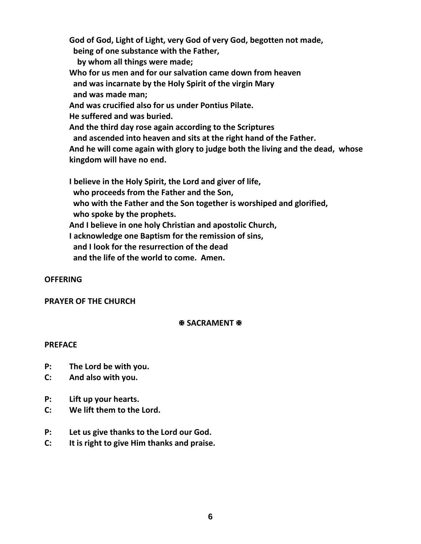**God of God, Light of Light, very God of very God, begotten not made, being of one substance with the Father, by whom all things were made; Who for us men and for our salvation came down from heaven and was incarnate by the Holy Spirit of the virgin Mary and was made man; And was crucified also for us under Pontius Pilate. He suffered and was buried. And the third day rose again according to the Scriptures and ascended into heaven and sits at the right hand of the Father. And he will come again with glory to judge both the living and the dead, whose kingdom will have no end. I believe in the Holy Spirit, the Lord and giver of life, who proceeds from the Father and the Son, who with the Father and the Son together is worshiped and glorified, who spoke by the prophets.**

**And I believe in one holy Christian and apostolic Church,**

**I acknowledge one Baptism for the remission of sins,**

 **and I look for the resurrection of the dead**

 **and the life of the world to come. Amen.**

### **OFFERING**

#### **PRAYER OF THE CHURCH**

### **图 SACRAMENT 图**

#### **PREFACE**

- **P: The Lord be with you.**
- **C: And also with you.**
- **P: Lift up your hearts.**
- **C: We lift them to the Lord.**
- **P: Let us give thanks to the Lord our God.**
- **C: It is right to give Him thanks and praise.**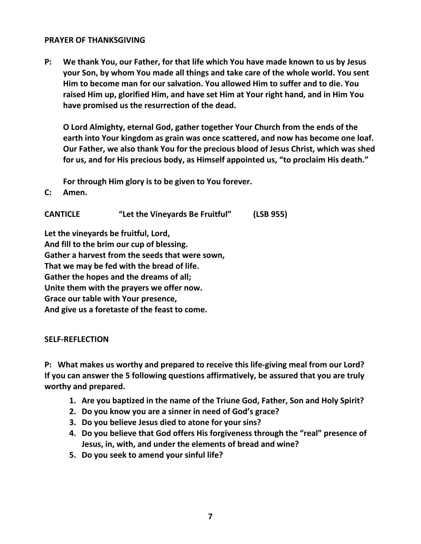#### **PRAYER OF THANKSGIVING**

**P: We thank You, our Father, for that life which You have made known to us by Jesus your Son, by whom You made all things and take care of the whole world. You sent Him to become man for our salvation. You allowed Him to suffer and to die. You raised Him up, glorified Him, and have set Him at Your right hand, and in Him You have promised us the resurrection of the dead.**

**O Lord Almighty, eternal God, gather together Your Church from the ends of the earth into Your kingdom as grain was once scattered, and now has become one loaf. Our Father, we also thank You for the precious blood of Jesus Christ, which was shed for us, and for His precious body, as Himself appointed us, "to proclaim His death."**

**For through Him glory is to be given to You forever.** 

**C: Amen.**

**CANTICLE "Let the Vineyards Be Fruitful" (LSB 955)**

**Let the vineyards be fruitful, Lord, And fill to the brim our cup of blessing. Gather a harvest from the seeds that were sown, That we may be fed with the bread of life. Gather the hopes and the dreams of all; Unite them with the prayers we offer now. Grace our table with Your presence, And give us a foretaste of the feast to come.** 

### **SELF-REFLECTION**

**P: What makes us worthy and prepared to receive this life-giving meal from our Lord? If you can answer the 5 following questions affirmatively, be assured that you are truly worthy and prepared.** 

- **1. Are you baptized in the name of the Triune God, Father, Son and Holy Spirit?**
- **2. Do you know you are a sinner in need of God's grace?**
- **3. Do you believe Jesus died to atone for your sins?**
- **4. Do you believe that God offers His forgiveness through the "real" presence of Jesus, in, with, and under the elements of bread and wine?**
- **5. Do you seek to amend your sinful life?**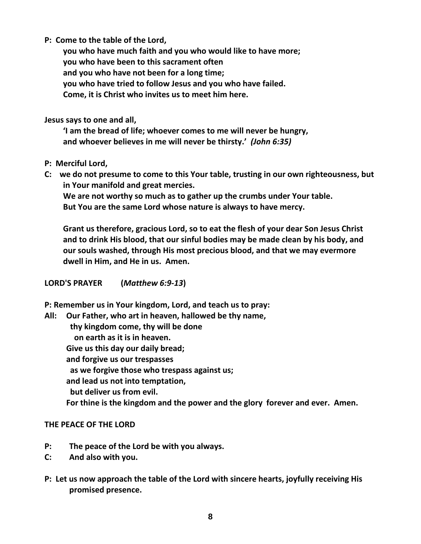**P: Come to the table of the Lord,**

**you who have much faith and you who would like to have more; you who have been to this sacrament often and you who have not been for a long time; you who have tried to follow Jesus and you who have failed. Come, it is Christ who invites us to meet him here.**

**Jesus says to one and all,** 

**'I am the bread of life; whoever comes to me will never be hungry, and whoever believes in me will never be thirsty.'** *(John 6:35)*

- **P: Merciful Lord,**
- **C: we do not presume to come to this Your table, trusting in our own righteousness, but in Your manifold and great mercies.**

**We are not worthy so much as to gather up the crumbs under Your table. But You are the same Lord whose nature is always to have mercy.**

**Grant us therefore, gracious Lord, so to eat the flesh of your dear Son Jesus Christ and to drink His blood, that our sinful bodies may be made clean by his body, and our souls washed, through His most precious blood, and that we may evermore dwell in Him, and He in us. Amen.**

**LORD'S PRAYER (***Matthew 6:9-13***)**

**P: Remember us in Your kingdom, Lord, and teach us to pray:**

**All: Our Father, who art in heaven, hallowed be thy name, thy kingdom come, thy will be done on earth as it is in heaven. Give us this day our daily bread; and forgive us our trespasses as we forgive those who trespass against us; and lead us not into temptation, but deliver us from evil. For thine is the kingdom and the power and the glory forever and ever. Amen.**

# **THE PEACE OF THE LORD**

- **P: The peace of the Lord be with you always.**
- **C: And also with you.**
- **P: Let us now approach the table of the Lord with sincere hearts, joyfully receiving His promised presence.**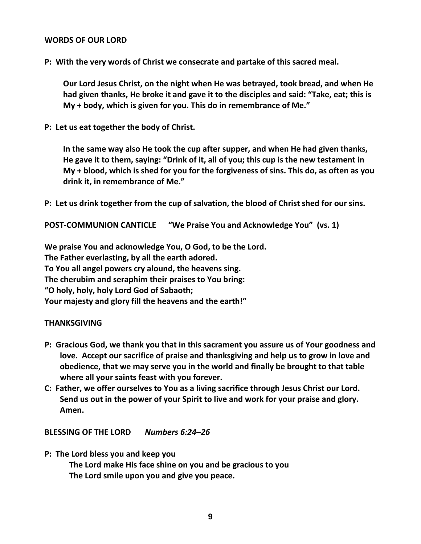#### **WORDS OF OUR LORD**

**P: With the very words of Christ we consecrate and partake of this sacred meal.** 

**Our Lord Jesus Christ, on the night when He was betrayed, took bread, and when He had given thanks, He broke it and gave it to the disciples and said: "Take, eat; this is My + body, which is given for you. This do in remembrance of Me."**

**P: Let us eat together the body of Christ.**

**In the same way also He took the cup after supper, and when He had given thanks, He gave it to them, saying: "Drink of it, all of you; this cup is the new testament in My + blood, which is shed for you for the forgiveness of sins. This do, as often as you drink it, in remembrance of Me."**

**P: Let us drink together from the cup of salvation, the blood of Christ shed for our sins.**

**POST-COMMUNION CANTICLE "We Praise You and Acknowledge You" (vs. 1)**

**We praise You and acknowledge You, O God, to be the Lord. The Father everlasting, by all the earth adored. To You all angel powers cry alound, the heavens sing. The cherubim and seraphim their praises to You bring: "O holy, holy, holy Lord God of Sabaoth; Your majesty and glory fill the heavens and the earth!"**

### **THANKSGIVING**

- **P: Gracious God, we thank you that in this sacrament you assure us of Your goodness and love. Accept our sacrifice of praise and thanksgiving and help us to grow in love and obedience, that we may serve you in the world and finally be brought to that table where all your saints feast with you forever.**
- **C: Father, we offer ourselves to You as a living sacrifice through Jesus Christ our Lord. Send us out in the power of your Spirit to live and work for your praise and glory. Amen.**

**BLESSING OF THE LORD** *Numbers 6:24–26*

**P: The Lord bless you and keep you**

**The Lord make His face shine on you and be gracious to you The Lord smile upon you and give you peace.**